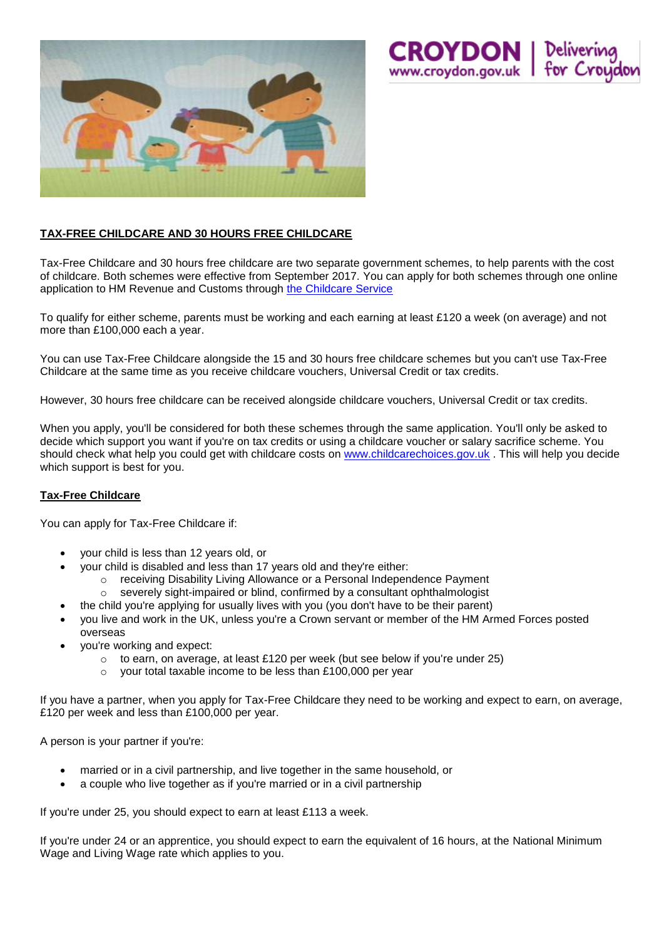

## **TAX-FREE CHILDCARE AND 30 HOURS FREE CHILDCARE**

Tax-Free Childcare and 30 hours free childcare are two separate government schemes, to help parents with the cost of childcare. Both schemes were effective from September 2017. You can apply for both schemes through one online application to HM Revenue and Customs through [the Childcare Service](https://childcare-support.tax.service.gov.uk/par/app/applynow)

**CROYDON** | Deliverin<br>www.croydon.gov.uk | for Cro

To qualify for either scheme, parents must be working and each earning at least £120 a week (on average) and not more than £100,000 each a year.

You can use Tax-Free Childcare alongside the 15 and 30 hours free childcare schemes but you can't use Tax-Free Childcare at the same time as you receive childcare vouchers, Universal Credit or tax credits.

However, 30 hours free childcare can be received alongside childcare vouchers, Universal Credit or tax credits.

When you apply, you'll be considered for both these schemes through the same application. You'll only be asked to decide which support you want if you're on tax credits or using a childcare voucher or salary sacrifice scheme. You should check what help you could get with childcare costs on [www.childcarechoices.gov.uk](http://www.childcarechoices.gov.uk/) . This will help you decide which support is best for you.

## **Tax-Free Childcare**

You can apply for Tax-Free Childcare if:

- your child is less than 12 years old, or
	- your child is disabled and less than 17 years old and they're either:
		- o receiving Disability Living Allowance or a Personal Independence Payment
		- o severely sight-impaired or blind, confirmed by a consultant ophthalmologist
	- the child you're applying for usually lives with you (you don't have to be their parent)
- you live and work in the UK, unless you're a Crown servant or member of the HM Armed Forces posted overseas
- you're working and expect:
	- $\circ$  to earn, on average, at least £120 per week (but see below if you're under 25)
	- o your total taxable income to be less than £100,000 per year

If you have a partner, when you apply for Tax-Free Childcare they need to be working and expect to earn, on average, £120 per week and less than £100,000 per year.

A person is your partner if you're:

- married or in a civil partnership, and live together in the same household, or
- a couple who live together as if you're married or in a civil partnership

If you're under 25, you should expect to earn at least £113 a week.

If you're under 24 or an apprentice, you should expect to earn the equivalent of 16 hours, at the [National Minimum](https://www.gov.uk/national-minimum-wage/employers-and-the-minimum-wage)  [Wage and Living Wage rate](https://www.gov.uk/national-minimum-wage/employers-and-the-minimum-wage) which applies to you.